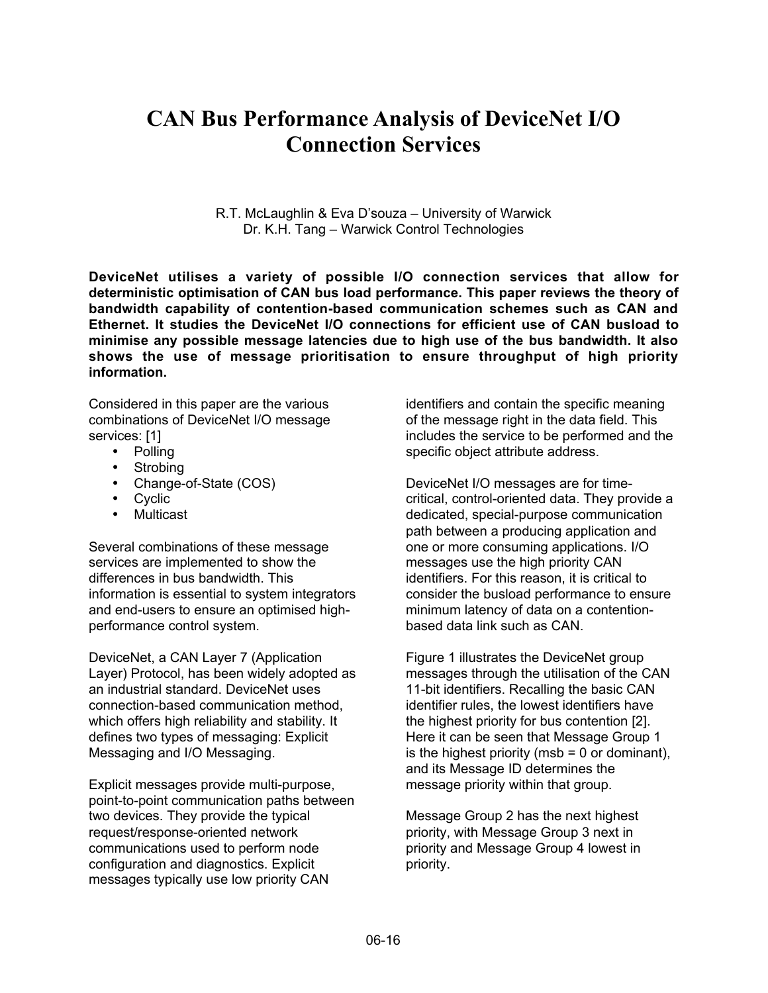# **CAN Bus Performance Analysis of DeviceNet I/O Connection Services**

R.T. McLaughlin & Eva D'souza – University of Warwick Dr. K.H. Tang – Warwick Control Technologies

**DeviceNet utilises a variety of possible I/O connection services that allow for deterministic optimisation of CAN bus load performance. This paper reviews the theory of bandwidth capability of contention-based communication schemes such as CAN and Ethernet. It studies the DeviceNet I/O connections for efficient use of CAN busload to minimise any possible message latencies due to high use of the bus bandwidth. It also shows the use of message prioritisation to ensure throughput of high priority information.**

Considered in this paper are the various combinations of DeviceNet I/O message services: [1]

- Polling
- Strobing
- Change-of-State (COS)
- Cyclic
- Multicast

Several combinations of these message services are implemented to show the differences in bus bandwidth. This information is essential to system integrators and end-users to ensure an optimised highperformance control system.

DeviceNet, a CAN Layer 7 (Application Layer) Protocol, has been widely adopted as an industrial standard. DeviceNet uses connection-based communication method, which offers high reliability and stability. It defines two types of messaging: Explicit Messaging and I/O Messaging.

Explicit messages provide multi-purpose, point-to-point communication paths between two devices. They provide the typical request/response-oriented network communications used to perform node configuration and diagnostics. Explicit messages typically use low priority CAN

identifiers and contain the specific meaning of the message right in the data field. This includes the service to be performed and the specific object attribute address.

DeviceNet I/O messages are for timecritical, control-oriented data. They provide a dedicated, special-purpose communication path between a producing application and one or more consuming applications. I/O messages use the high priority CAN identifiers. For this reason, it is critical to consider the busload performance to ensure minimum latency of data on a contentionbased data link such as CAN.

Figure 1 illustrates the DeviceNet group messages through the utilisation of the CAN 11-bit identifiers. Recalling the basic CAN identifier rules, the lowest identifiers have the highest priority for bus contention [2]. Here it can be seen that Message Group 1 is the highest priority ( $msb = 0$  or dominant). and its Message ID determines the message priority within that group.

Message Group 2 has the next highest priority, with Message Group 3 next in priority and Message Group 4 lowest in priority.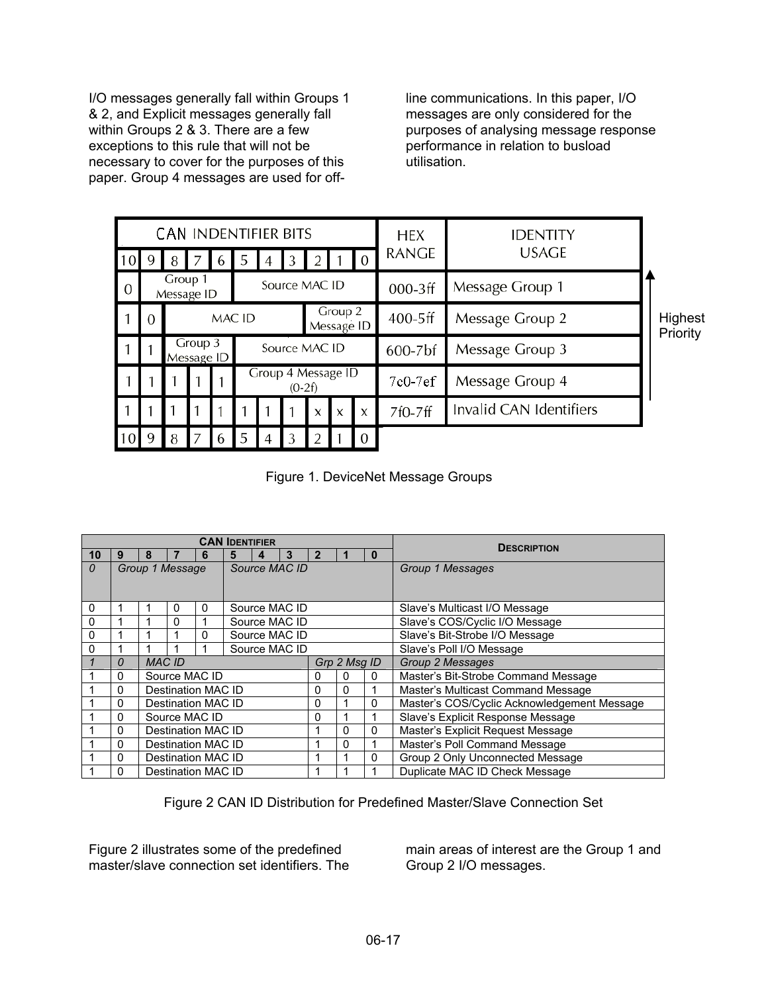I/O messages generally fall within Groups 1 & 2, and Explicit messages generally fall within Groups 2 & 3. There are a few exceptions to this rule that will not be necessary to cover for the purposes of this paper. Group 4 messages are used for offline communications. In this paper, I/O messages are only considered for the purposes of analysing message response performance in relation to busload utilisation.

| <b>CAN INDENTIFIER BITS</b> |          |                                 |                                                                           |   |                                |  |   |   |                           |                           | <b>HEX</b>      | <b>IDENTITY</b>         |  |
|-----------------------------|----------|---------------------------------|---------------------------------------------------------------------------|---|--------------------------------|--|---|---|---------------------------|---------------------------|-----------------|-------------------------|--|
| 10                          | -9       | 8                               |                                                                           |   | 5                              |  | 3 |   |                           |                           | <b>RANGE</b>    | <b>USAGE</b>            |  |
| $\overline{0}$              |          | Group 1<br>Message ID           |                                                                           |   | Source MAC ID                  |  |   |   |                           |                           | $000-3$ ff      | Message Group 1         |  |
|                             | $\Omega$ | Group 2<br>MAC ID<br>Message ID |                                                                           |   |                                |  |   |   |                           | $400-5ff$                 | Message Group 2 | Highest<br>Priority     |  |
|                             |          |                                 | Group 3<br>Source MAC ID<br>Message Group 3<br>$600 - 7$ bf<br>Message ID |   |                                |  |   |   |                           |                           |                 |                         |  |
|                             |          |                                 |                                                                           |   | Group 4 Message ID<br>$(0-2f)$ |  |   |   | $7c0-7ef$                 | Message Group 4           |                 |                         |  |
|                             |          |                                 |                                                                           |   |                                |  |   | X | $\boldsymbol{\mathsf{x}}$ | $\boldsymbol{\mathsf{x}}$ | 7f0-7ff         | Invalid CAN Identifiers |  |
| 10 9                        |          | 8                               |                                                                           | b | 5                              |  |   |   |                           | $\Omega$                  |                 |                         |  |

Figure 1. DeviceNet Message Groups

| <b>CAN IDENTIFIER</b> |   |                         |                 |   |               |   |   |              | <b>DESCRIPTION</b> |                          |                                             |  |
|-----------------------|---|-------------------------|-----------------|---|---------------|---|---|--------------|--------------------|--------------------------|---------------------------------------------|--|
| 10                    | 9 | 8                       |                 |   | 5             | 4 | 3 |              |                    | $\bf{0}$                 |                                             |  |
| 0                     |   |                         | Group 1 Message |   | Source MAC ID |   |   |              |                    |                          | Group 1 Messages                            |  |
|                       |   |                         |                 |   |               |   |   |              |                    |                          |                                             |  |
|                       |   |                         |                 |   |               |   |   |              |                    |                          |                                             |  |
| 0                     |   | Source MAC ID<br>0<br>0 |                 |   |               |   |   |              |                    |                          | Slave's Multicast I/O Message               |  |
| $\Omega$              |   |                         | 0               |   | Source MAC ID |   |   |              |                    |                          | Slave's COS/Cyclic I/O Message              |  |
| $\Omega$              |   |                         |                 | 0 | Source MAC ID |   |   |              |                    |                          | Slave's Bit-Strobe I/O Message              |  |
| 0                     |   |                         |                 |   | Source MAC ID |   |   |              |                    | Slave's Poll I/O Message |                                             |  |
|                       | 0 | <b>MAC ID</b>           |                 |   |               |   |   | Grp 2 Msq ID |                    |                          | Group 2 Messages                            |  |
|                       | 0 | Source MAC ID           |                 |   |               |   |   | 0            | $\Omega$           | 0                        | Master's Bit-Strobe Command Message         |  |
|                       | 0 | Destination MAC ID      |                 |   |               |   |   | 0            | $\mathbf{0}$       |                          | Master's Multicast Command Message          |  |
|                       | 0 | Destination MAC ID      |                 |   |               |   |   | 0            |                    | 0                        | Master's COS/Cyclic Acknowledgement Message |  |
|                       | 0 | Source MAC ID           |                 |   |               |   |   | 0            |                    |                          | Slave's Explicit Response Message           |  |
|                       | 0 | Destination MAC ID      |                 |   |               |   |   |              | $\Omega$           | $\mathbf{0}$             | Master's Explicit Request Message           |  |
|                       | 0 | Destination MAC ID      |                 |   |               |   |   |              | 0                  |                          | Master's Poll Command Message               |  |
|                       | 0 | Destination MAC ID      |                 |   |               |   |   |              |                    | $\Omega$                 | Group 2 Only Unconnected Message            |  |
|                       | 0 | Destination MAC ID      |                 |   |               |   |   |              |                    |                          | Duplicate MAC ID Check Message              |  |

Figure 2 CAN ID Distribution for Predefined Master/Slave Connection Set

Figure 2 illustrates some of the predefined master/slave connection set identifiers. The

main areas of interest are the Group 1 and Group 2 I/O messages.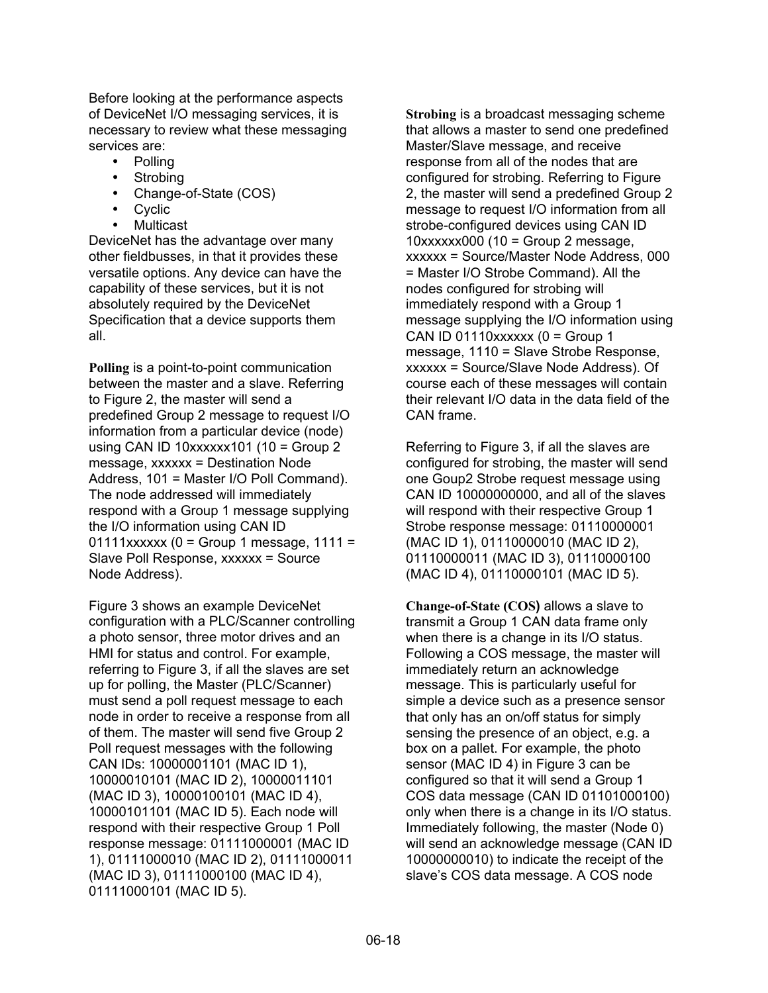Before looking at the performance aspects of DeviceNet I/O messaging services, it is necessary to review what these messaging services are:

• Polling

- **Strobing**
- Change-of-State (COS)
- **Cyclic**
- **Multicast**

DeviceNet has the advantage over many other fieldbusses, in that it provides these versatile options. Any device can have the capability of these services, but it is not absolutely required by the DeviceNet Specification that a device supports them all.

**Polling** is a point-to-point communication between the master and a slave. Referring to Figure 2, the master will send a predefined Group 2 message to request I/O information from a particular device (node) using CAN ID  $10xxxxx101$  (10 = Group 2 message, xxxxxx = Destination Node Address, 101 = Master I/O Poll Command). The node addressed will immediately respond with a Group 1 message supplying the I/O information using CAN ID  $01111xxxxx$  (0 = Group 1 message, 1111 = Slave Poll Response, xxxxxx = Source Node Address).

Figure 3 shows an example DeviceNet configuration with a PLC/Scanner controlling a photo sensor, three motor drives and an HMI for status and control. For example, referring to Figure 3, if all the slaves are set up for polling, the Master (PLC/Scanner) must send a poll request message to each node in order to receive a response from all of them. The master will send five Group 2 Poll request messages with the following CAN IDs: 10000001101 (MAC ID 1), 10000010101 (MAC ID 2), 10000011101 (MAC ID 3), 10000100101 (MAC ID 4), 10000101101 (MAC ID 5). Each node will respond with their respective Group 1 Poll response message: 01111000001 (MAC ID 1), 01111000010 (MAC ID 2), 01111000011 (MAC ID 3), 01111000100 (MAC ID 4), 01111000101 (MAC ID 5).

**Strobing** is a broadcast messaging scheme that allows a master to send one predefined Master/Slave message, and receive response from all of the nodes that are configured for strobing. Referring to Figure 2, the master will send a predefined Group 2 message to request I/O information from all strobe-configured devices using CAN ID  $10xxxxx000$  (10 = Group 2 message, xxxxxx = Source/Master Node Address, 000 = Master I/O Strobe Command). All the nodes configured for strobing will immediately respond with a Group 1 message supplying the I/O information using CAN ID 01110xxxxxx ( $0 =$  Group 1 message, 1110 = Slave Strobe Response, xxxxxx = Source/Slave Node Address). Of course each of these messages will contain their relevant I/O data in the data field of the CAN frame.

Referring to Figure 3, if all the slaves are configured for strobing, the master will send one Goup2 Strobe request message using CAN ID 10000000000, and all of the slaves will respond with their respective Group 1 Strobe response message: 01110000001 (MAC ID 1), 01110000010 (MAC ID 2), 01110000011 (MAC ID 3), 01110000100 (MAC ID 4), 01110000101 (MAC ID 5).

**Change-of-State (COS)** allows a slave to transmit a Group 1 CAN data frame only when there is a change in its I/O status. Following a COS message, the master will immediately return an acknowledge message. This is particularly useful for simple a device such as a presence sensor that only has an on/off status for simply sensing the presence of an object, e.g. a box on a pallet. For example, the photo sensor (MAC ID 4) in Figure 3 can be configured so that it will send a Group 1 COS data message (CAN ID 01101000100) only when there is a change in its I/O status. Immediately following, the master (Node 0) will send an acknowledge message (CAN ID 10000000010) to indicate the receipt of the slave's COS data message. A COS node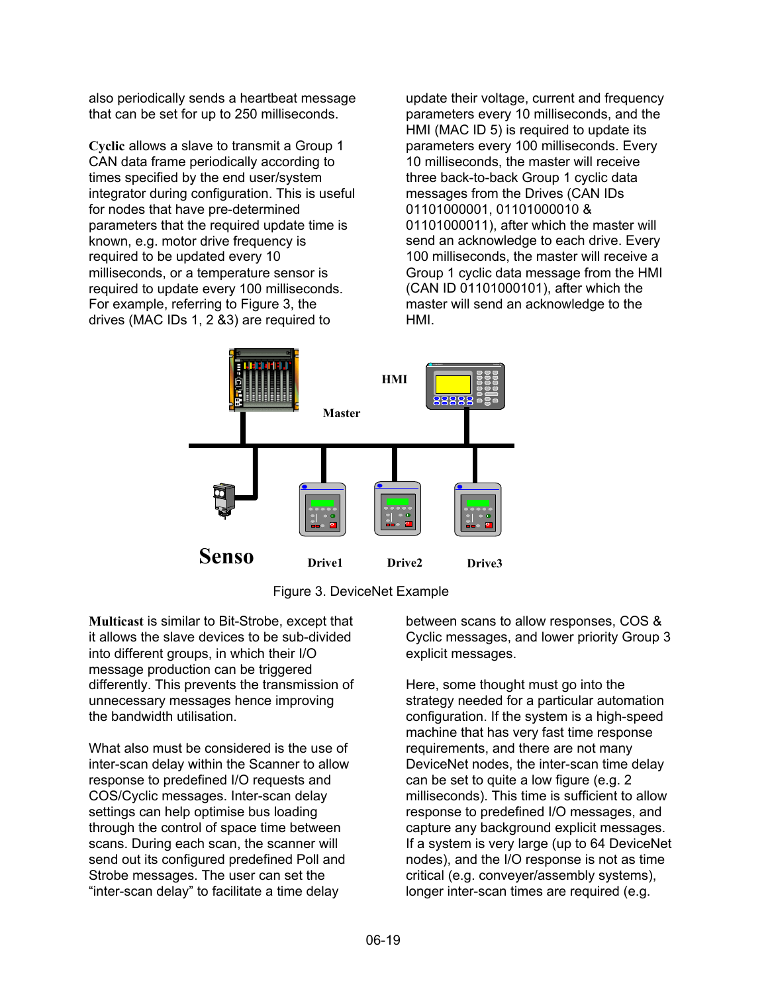also periodically sends a heartbeat message that can be set for up to 250 milliseconds.

**Cyclic** allows a slave to transmit a Group 1 CAN data frame periodically according to times specified by the end user/system integrator during configuration. This is useful for nodes that have pre-determined parameters that the required update time is known, e.g. motor drive frequency is required to be updated every 10 milliseconds, or a temperature sensor is required to update every 100 milliseconds. For example, referring to Figure 3, the drives (MAC IDs 1, 2 &3) are required to

update their voltage, current and frequency parameters every 10 milliseconds, and the HMI (MAC ID 5) is required to update its parameters every 100 milliseconds. Every 10 milliseconds, the master will receive three back-to-back Group 1 cyclic data messages from the Drives (CAN IDs 01101000001, 01101000010 & 01101000011), after which the master will send an acknowledge to each drive. Every 100 milliseconds, the master will receive a Group 1 cyclic data message from the HMI (CAN ID 01101000101), after which the master will send an acknowledge to the HMI.





**Multicast** is similar to Bit-Strobe, except that it allows the slave devices to be sub-divided into different groups, in which their I/O message production can be triggered differently. This prevents the transmission of unnecessary messages hence improving the bandwidth utilisation.

What also must be considered is the use of inter-scan delay within the Scanner to allow response to predefined I/O requests and COS/Cyclic messages. Inter-scan delay settings can help optimise bus loading through the control of space time between scans. During each scan, the scanner will send out its configured predefined Poll and Strobe messages. The user can set the "inter-scan delay" to facilitate a time delay

between scans to allow responses, COS & Cyclic messages, and lower priority Group 3 explicit messages.

Here, some thought must go into the strategy needed for a particular automation configuration. If the system is a high-speed machine that has very fast time response requirements, and there are not many DeviceNet nodes, the inter-scan time delay can be set to quite a low figure (e.g. 2 milliseconds). This time is sufficient to allow response to predefined I/O messages, and capture any background explicit messages. If a system is very large (up to 64 DeviceNet nodes), and the I/O response is not as time critical (e.g. conveyer/assembly systems), longer inter-scan times are required (e.g.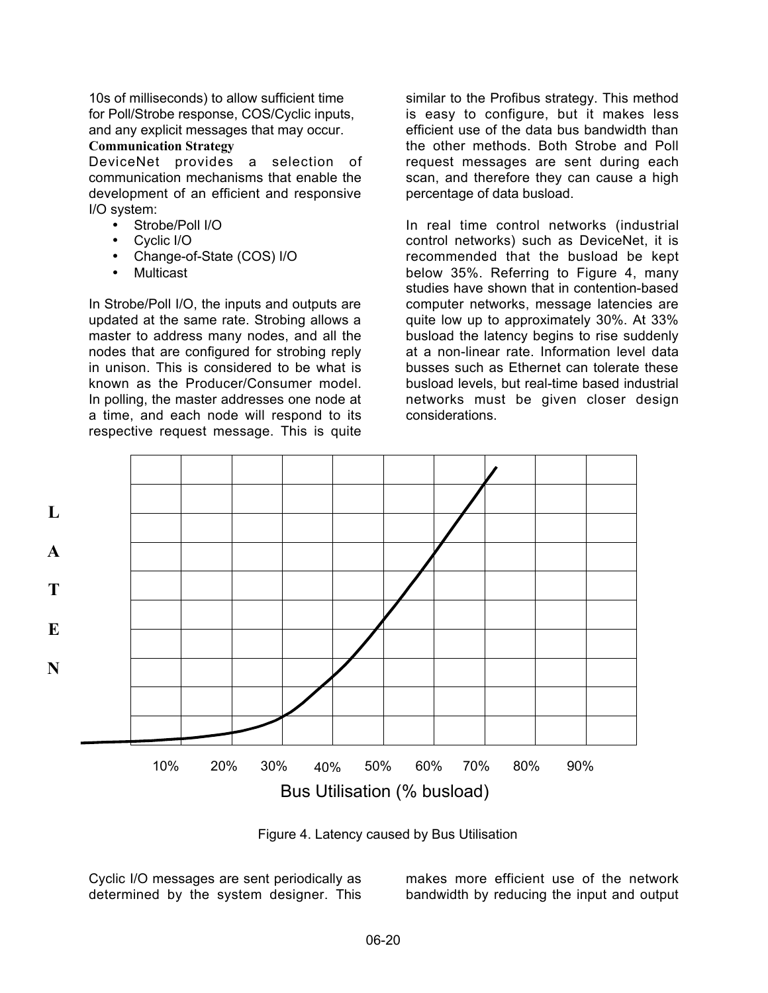10s of milliseconds) to allow sufficient time for Poll/Strobe response, COS/Cyclic inputs, and any explicit messages that may occur.

## **Communication Strategy**

DeviceNet provides a selection of communication mechanisms that enable the development of an efficient and responsive I/O system:

- Strobe/Poll I/O
- Cyclic I/O
- Change-of-State (COS) I/O
- Multicast

In Strobe/Poll I/O, the inputs and outputs are updated at the same rate. Strobing allows a master to address many nodes, and all the nodes that are configured for strobing reply in unison. This is considered to be what is known as the Producer/Consumer model. In polling, the master addresses one node at a time, and each node will respond to its respective request message. This is quite

similar to the Profibus strategy. This method is easy to configure, but it makes less efficient use of the data bus bandwidth than the other methods. Both Strobe and Poll request messages are sent during each scan, and therefore they can cause a high percentage of data busload.

In real time control networks (industrial control networks) such as DeviceNet, it is recommended that the busload be kept below 35%. Referring to Figure 4, many studies have shown that in contention-based computer networks, message latencies are quite low up to approximately 30%. At 33% busload the latency begins to rise suddenly at a non-linear rate. Information level data busses such as Ethernet can tolerate these busload levels, but real-time based industrial networks must be given closer design considerations.



Figure 4. Latency caused by Bus Utilisation

Cyclic I/O messages are sent periodically as determined by the system designer. This makes more efficient use of the network bandwidth by reducing the input and output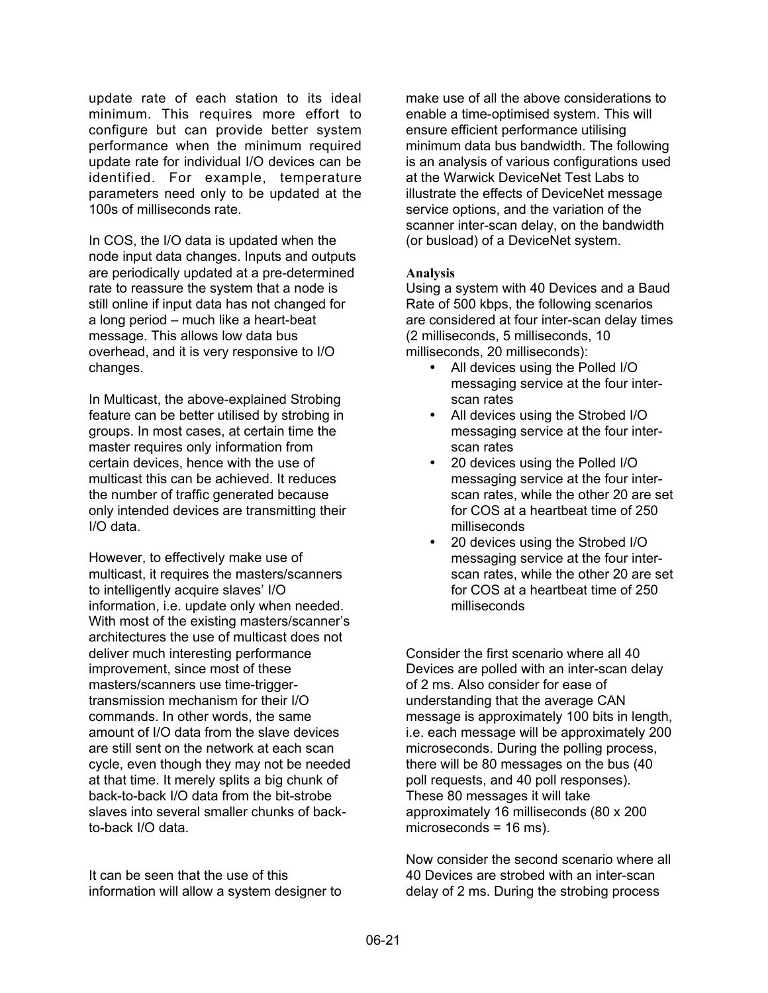update rate of each station to its ideal minimum. This requires more effort to configure but can provide better system performance when the minimum required update rate for individual I/O devices can be identified. For example, temperature parameters need only to be updated at the 100s of milliseconds rate.

In COS, the I/O data is updated when the node input data changes. Inputs and outputs are periodically updated at a pre-determined rate to reassure the system that a node is still online if input data has not changed for a long period – much like a heart-beat message. This allows low data bus overhead, and it is very responsive to I/O changes.

In Multicast, the above-explained Strobing feature can be better utilised by strobing in groups. In most cases, at certain time the master requires only information from certain devices, hence with the use of multicast this can be achieved. It reduces the number of traffic generated because only intended devices are transmitting their I/O data.

However, to effectively make use of multicast, it requires the masters/scanners to intelligently acquire slaves' I/O information, i.e. update only when needed. With most of the existing masters/scanner's architectures the use of multicast does not deliver much interesting performance improvement, since most of these masters/scanners use time-triggertransmission mechanism for their I/O commands. In other words, the same amount of I/O data from the slave devices are still sent on the network at each scan cycle, even though they may not be needed at that time. It merely splits a big chunk of back-to-back I/O data from the bit-strobe slaves into several smaller chunks of backto-back I/O data.

It can be seen that the use of this information will allow a system designer to make use of all the above considerations to enable a time-optimised system. This will ensure efficient performance utilising minimum data bus bandwidth. The following is an analysis of various configurations used at the Warwick DeviceNet Test Labs to illustrate the effects of DeviceNet message service options, and the variation of the scanner inter-scan delay, on the bandwidth (or busload) of a DeviceNet system.

### **Analysis**

Using a system with 40 Devices and a Baud Rate of 500 kbps, the following scenarios are considered at four inter-scan delay times (2 milliseconds, 5 milliseconds, 10 milliseconds, 20 milliseconds):

- All devices using the Polled I/O messaging service at the four interscan rates
- All devices using the Strobed I/O messaging service at the four interscan rates
- 20 devices using the Polled I/O messaging service at the four interscan rates, while the other 20 are set for COS at a heartbeat time of 250 milliseconds
- 20 devices using the Strobed I/O messaging service at the four interscan rates, while the other 20 are set for COS at a heartbeat time of 250 milliseconds

Consider the first scenario where all 40 Devices are polled with an inter-scan delay of 2 ms. Also consider for ease of understanding that the average CAN message is approximately 100 bits in length, i.e. each message will be approximately 200 microseconds. During the polling process, there will be 80 messages on the bus (40 poll requests, and 40 poll responses). These 80 messages it will take approximately 16 milliseconds (80 x 200 microseconds = 16 ms).

Now consider the second scenario where all 40 Devices are strobed with an inter-scan delay of 2 ms. During the strobing process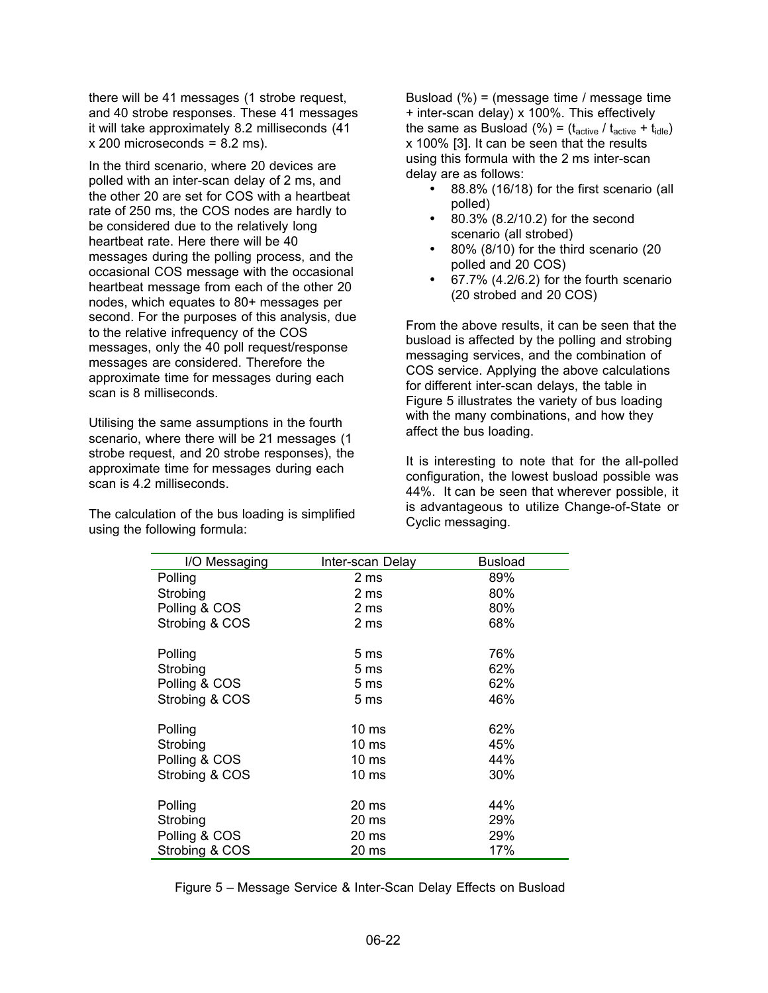there will be 41 messages (1 strobe request, and 40 strobe responses. These 41 messages it will take approximately 8.2 milliseconds (41  $x$  200 microseconds = 8.2 ms).

In the third scenario, where 20 devices are polled with an inter-scan delay of 2 ms, and the other 20 are set for COS with a heartbeat rate of 250 ms, the COS nodes are hardly to be considered due to the relatively long heartbeat rate. Here there will be 40 messages during the polling process, and the occasional COS message with the occasional heartbeat message from each of the other 20 nodes, which equates to 80+ messages per second. For the purposes of this analysis, due to the relative infrequency of the COS messages, only the 40 poll request/response messages are considered. Therefore the approximate time for messages during each scan is 8 milliseconds.

Utilising the same assumptions in the fourth scenario, where there will be 21 messages (1 strobe request, and 20 strobe responses), the approximate time for messages during each scan is 4.2 milliseconds.

The calculation of the bus loading is simplified using the following formula:

Busload (%) = (message time / message time + inter-scan delay) x 100%. This effectively the same as Busload (%) =  $(t<sub>active</sub> / t<sub>active</sub> + t<sub>idle</sub>)$ x 100% [3]. It can be seen that the results using this formula with the 2 ms inter-scan delay are as follows:

- 88.8% (16/18) for the first scenario (all polled)
- 80.3% (8.2/10.2) for the second scenario (all strobed)
- 80% (8/10) for the third scenario (20 polled and 20 COS)
- 67.7% (4.2/6.2) for the fourth scenario (20 strobed and 20 COS)

From the above results, it can be seen that the busload is affected by the polling and strobing messaging services, and the combination of COS service. Applying the above calculations for different inter-scan delays, the table in Figure 5 illustrates the variety of bus loading with the many combinations, and how they affect the bus loading.

It is interesting to note that for the all-polled configuration, the lowest busload possible was 44%. It can be seen that wherever possible, it is advantageous to utilize Change-of-State or Cyclic messaging.

| I/O Messaging  | Inter-scan Delay | <b>Busload</b> |
|----------------|------------------|----------------|
| Polling        | 2 ms             | 89%            |
| Strobing       | 2 ms             | 80%            |
| Polling & COS  | 2 ms             | 80%            |
| Strobing & COS | 2 ms             | 68%            |
| Polling        | 5 <sub>ms</sub>  | 76%            |
| Strobing       | 5 <sub>ms</sub>  | 62%            |
| Polling & COS  | 5 <sub>ms</sub>  | 62%            |
| Strobing & COS | 5 <sub>ms</sub>  | 46%            |
| Polling        | 10 <sub>ms</sub> | 62%            |
| Strobing       | 10 <sub>ms</sub> | 45%            |
| Polling & COS  | 10 <sub>ms</sub> | 44%            |
| Strobing & COS | 10 <sub>ms</sub> | 30%            |
| Polling        | 20 ms            | 44%            |
| Strobing       | 20 ms            | 29%            |
| Polling & COS  | 20 ms            | 29%            |
| Strobing & COS | 20 ms            | 17%            |

Figure 5 – Message Service & Inter-Scan Delay Effects on Busload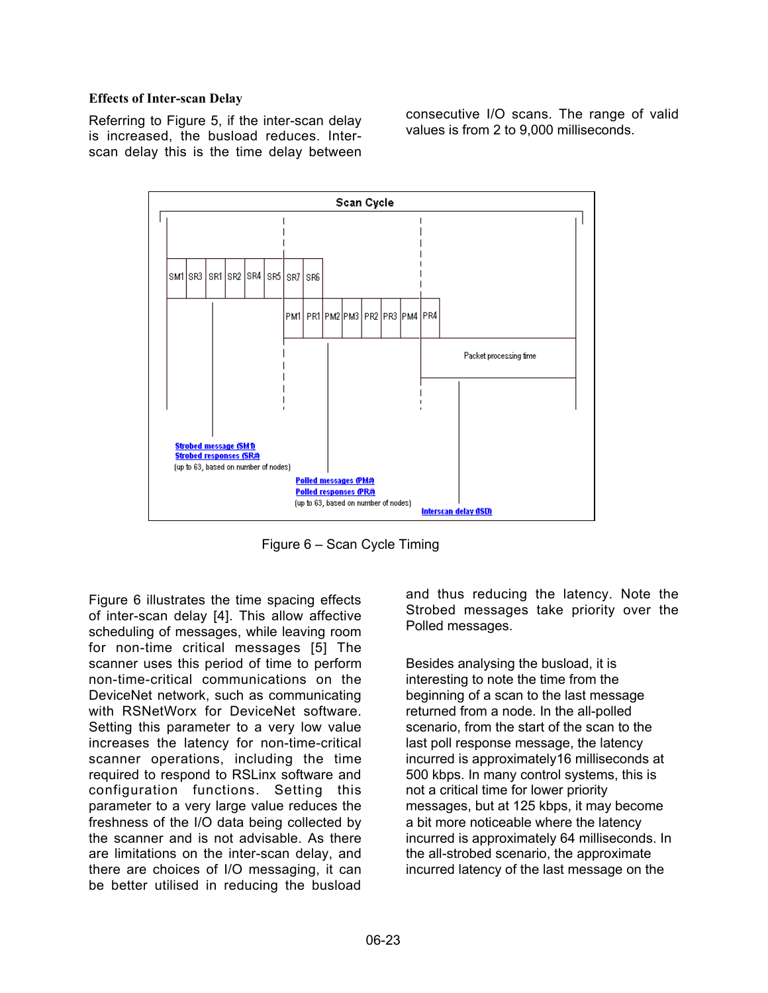#### **Effects of Inter-scan Delay**

Referring to Figure 5, if the inter-scan delay is increased, the busload reduces. Interscan delay this is the time delay between consecutive I/O scans. The range of valid values is from 2 to 9,000 milliseconds.



Figure 6 – Scan Cycle Timing

Figure 6 illustrates the time spacing effects of inter-scan delay [4]. This allow affective scheduling of messages, while leaving room for non-time critical messages [5] The scanner uses this period of time to perform non-time-critical communications on the DeviceNet network, such as communicating with RSNetWorx for DeviceNet software. Setting this parameter to a very low value increases the latency for non-time-critical scanner operations, including the time required to respond to RSLinx software and configuration functions. Setting this parameter to a very large value reduces the freshness of the I/O data being collected by the scanner and is not advisable. As there are limitations on the inter-scan delay, and there are choices of I/O messaging, it can be better utilised in reducing the busload

and thus reducing the latency. Note the Strobed messages take priority over the Polled messages.

Besides analysing the busload, it is interesting to note the time from the beginning of a scan to the last message returned from a node. In the all-polled scenario, from the start of the scan to the last poll response message, the latency incurred is approximately16 milliseconds at 500 kbps. In many control systems, this is not a critical time for lower priority messages, but at 125 kbps, it may become a bit more noticeable where the latency incurred is approximately 64 milliseconds. In the all-strobed scenario, the approximate incurred latency of the last message on the